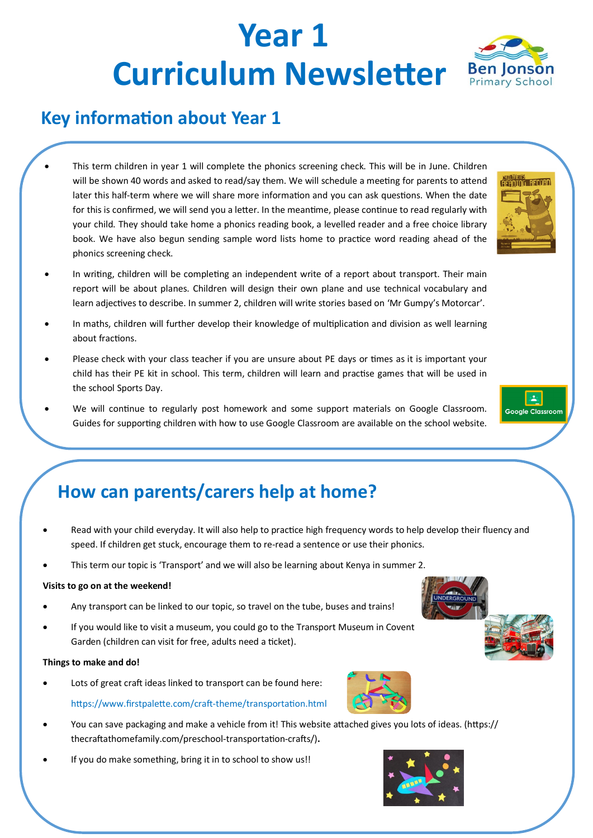# **Year 1 Curriculum Newsletter** Ben Jonson

### **Key information about Year 1**

- This term children in year 1 will complete the phonics screening check. This will be in June. Children will be shown 40 words and asked to read/say them. We will schedule a meeting for parents to attend later this half-term where we will share more information and you can ask questions. When the date for this is confirmed, we will send you a letter. In the meantime, please continue to read regularly with your child. They should take home a phonics reading book, a levelled reader and a free choice library book. We have also begun sending sample word lists home to practice word reading ahead of the phonics screening check.
- In writing, children will be completing an independent write of a report about transport. Their main report will be about planes. Children will design their own plane and use technical vocabulary and learn adjectives to describe. In summer 2, children will write stories based on 'Mr Gumpy's Motorcar'.
- In maths, children will further develop their knowledge of multiplication and division as well learning about fractions.
- Please check with your class teacher if you are unsure about PE days or times as it is important your child has their PE kit in school. This term, children will learn and practise games that will be used in the school Sports Day.
- We will continue to regularly post homework and some support materials on Google Classroom. Guides for supporting children with how to use Google Classroom are available on the school website.



- Read with your child everyday. It will also help to practice high frequency words to help develop their fluency and speed. If children get stuck, encourage them to re-read a sentence or use their phonics.
- This term our topic is 'Transport' and we will also be learning about Kenya in summer 2.

#### **Visits to go on at the weekend!**

- Any transport can be linked to our topic, so travel on the tube, buses and trains!
- If you would like to visit a museum, you could go to the Transport Museum in Covent Garden (children can visit for free, adults need a ticket).

#### **Things to make and do!**

- Lots of great craft ideas linked to transport can be found here: https://www.firstpalette.com/craft-theme/transportation.html
- You can save packaging and make a vehicle from it! This website attached gives you lots of ideas. (https:// thecraftathomefamily.com/preschool-transportation-crafts/)**.**
- If you do make something, bring it in to school to show us!!





**READING RECORD**